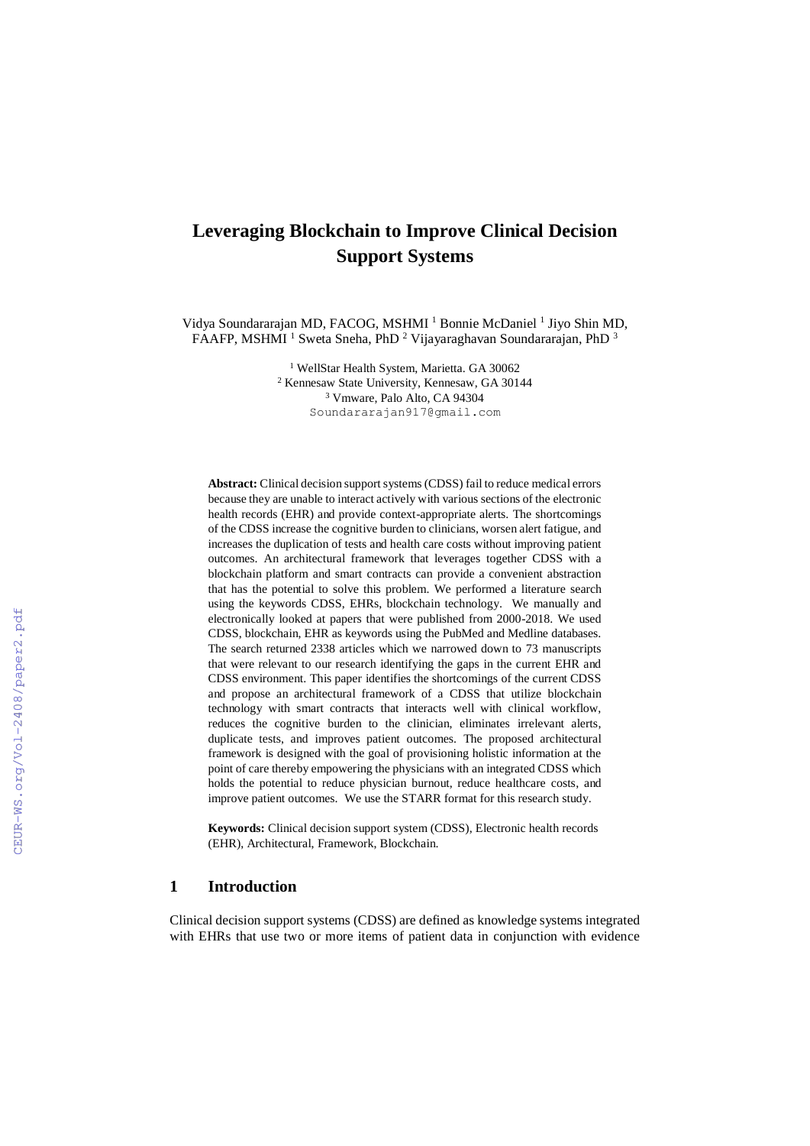# **Leveraging Blockchain to Improve Clinical Decision Support Systems**

Vidya Soundararajan MD, FACOG, MSHMI<sup>1</sup> Bonnie McDaniel<sup>1</sup> Jiyo Shin MD, FAAFP, MSHMI <sup>1</sup> Sweta Sneha, PhD <sup>2</sup> Vijayaraghavan Soundararajan, PhD <sup>3</sup>

> <sup>1</sup> WellStar Health System, Marietta. GA 30062 <sup>2</sup> Kennesaw State University, Kennesaw, GA 30144 <sup>3</sup> Vmware, Palo Alto, CA 94304 Soundararajan917@gmail.com

**Abstract:** Clinical decision support systems (CDSS) fail to reduce medical errors because they are unable to interact actively with various sections of the electronic health records (EHR) and provide context-appropriate alerts. The shortcomings of the CDSS increase the cognitive burden to clinicians, worsen alert fatigue, and increases the duplication of tests and health care costs without improving patient outcomes. An architectural framework that leverages together CDSS with a blockchain platform and smart contracts can provide a convenient abstraction that has the potential to solve this problem. We performed a literature search using the keywords CDSS, EHRs, blockchain technology. We manually and electronically looked at papers that were published from 2000-2018. We used CDSS, blockchain, EHR as keywords using the PubMed and Medline databases. The search returned 2338 articles which we narrowed down to 73 manuscripts that were relevant to our research identifying the gaps in the current EHR and CDSS environment. This paper identifies the shortcomings of the current CDSS and propose an architectural framework of a CDSS that utilize blockchain technology with smart contracts that interacts well with clinical workflow, reduces the cognitive burden to the clinician, eliminates irrelevant alerts, duplicate tests, and improves patient outcomes. The proposed architectural framework is designed with the goal of provisioning holistic information at the point of care thereby empowering the physicians with an integrated CDSS which holds the potential to reduce physician burnout, reduce healthcare costs, and improve patient outcomes. We use the STARR format for this research study.

**Keywords:** Clinical decision support system (CDSS), Electronic health records (EHR), Architectural, Framework, Blockchain.

# **1 Introduction**

Clinical decision support systems (CDSS) are defined as knowledge systems integrated with EHRs that use two or more items of patient data in conjunction with evidence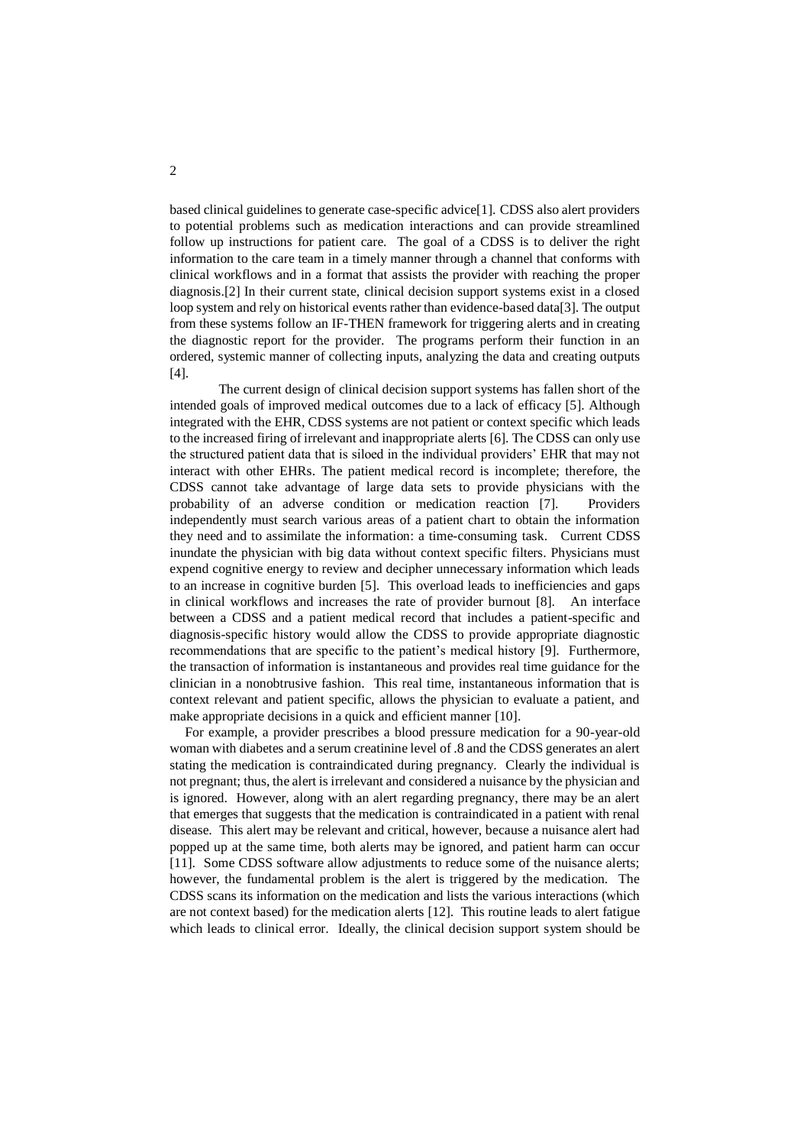based clinical guidelines to generate case-specific advice[1]. CDSS also alert providers to potential problems such as medication interactions and can provide streamlined follow up instructions for patient care. The goal of a CDSS is to deliver the right information to the care team in a timely manner through a channel that conforms with clinical workflows and in a format that assists the provider with reaching the proper diagnosis.[2] In their current state, clinical decision support systems exist in a closed loop system and rely on historical events rather than evidence-based data[3]. The output from these systems follow an IF-THEN framework for triggering alerts and in creating the diagnostic report for the provider. The programs perform their function in an ordered, systemic manner of collecting inputs, analyzing the data and creating outputs [4].

The current design of clinical decision support systems has fallen short of the intended goals of improved medical outcomes due to a lack of efficacy [5]. Although integrated with the EHR, CDSS systems are not patient or context specific which leads to the increased firing of irrelevant and inappropriate alerts [6]. The CDSS can only use the structured patient data that is siloed in the individual providers' EHR that may not interact with other EHRs. The patient medical record is incomplete; therefore, the CDSS cannot take advantage of large data sets to provide physicians with the probability of an adverse condition or medication reaction [7]. Providers independently must search various areas of a patient chart to obtain the information they need and to assimilate the information: a time-consuming task. Current CDSS inundate the physician with big data without context specific filters. Physicians must expend cognitive energy to review and decipher unnecessary information which leads to an increase in cognitive burden [5]. This overload leads to inefficiencies and gaps in clinical workflows and increases the rate of provider burnout [8]. An interface between a CDSS and a patient medical record that includes a patient-specific and diagnosis-specific history would allow the CDSS to provide appropriate diagnostic recommendations that are specific to the patient's medical history [9]. Furthermore, the transaction of information is instantaneous and provides real time guidance for the clinician in a nonobtrusive fashion. This real time, instantaneous information that is context relevant and patient specific, allows the physician to evaluate a patient, and make appropriate decisions in a quick and efficient manner [10].

For example, a provider prescribes a blood pressure medication for a 90-year-old woman with diabetes and a serum creatinine level of .8 and the CDSS generates an alert stating the medication is contraindicated during pregnancy. Clearly the individual is not pregnant; thus, the alert is irrelevant and considered a nuisance by the physician and is ignored. However, along with an alert regarding pregnancy, there may be an alert that emerges that suggests that the medication is contraindicated in a patient with renal disease. This alert may be relevant and critical, however, because a nuisance alert had popped up at the same time, both alerts may be ignored, and patient harm can occur [11]. Some CDSS software allow adjustments to reduce some of the nuisance alerts; however, the fundamental problem is the alert is triggered by the medication. The CDSS scans its information on the medication and lists the various interactions (which are not context based) for the medication alerts [12]. This routine leads to alert fatigue which leads to clinical error. Ideally, the clinical decision support system should be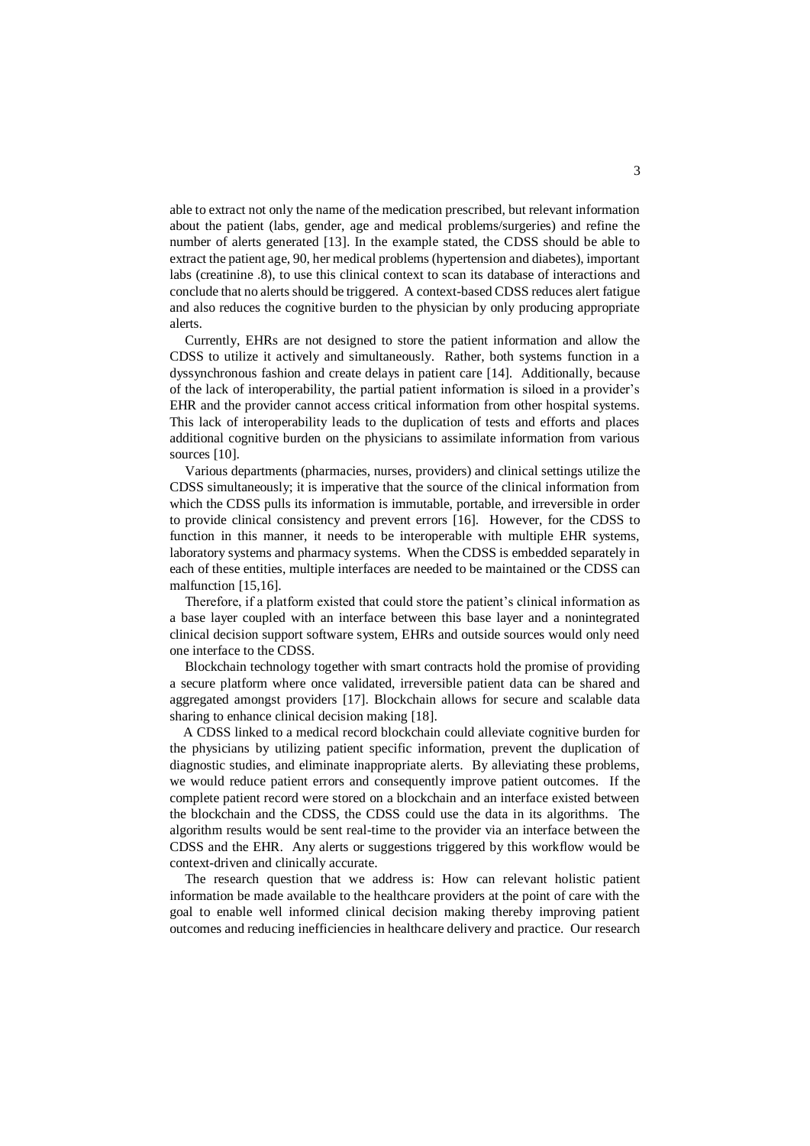able to extract not only the name of the medication prescribed, but relevant information about the patient (labs, gender, age and medical problems/surgeries) and refine the number of alerts generated [13]. In the example stated, the CDSS should be able to extract the patient age, 90, her medical problems (hypertension and diabetes), important labs (creatinine .8), to use this clinical context to scan its database of interactions and conclude that no alerts should be triggered. A context-based CDSS reduces alert fatigue and also reduces the cognitive burden to the physician by only producing appropriate alerts.

Currently, EHRs are not designed to store the patient information and allow the CDSS to utilize it actively and simultaneously. Rather, both systems function in a dyssynchronous fashion and create delays in patient care [14]. Additionally, because of the lack of interoperability, the partial patient information is siloed in a provider's EHR and the provider cannot access critical information from other hospital systems. This lack of interoperability leads to the duplication of tests and efforts and places additional cognitive burden on the physicians to assimilate information from various sources [10].

Various departments (pharmacies, nurses, providers) and clinical settings utilize the CDSS simultaneously; it is imperative that the source of the clinical information from which the CDSS pulls its information is immutable, portable, and irreversible in order to provide clinical consistency and prevent errors [16]. However, for the CDSS to function in this manner, it needs to be interoperable with multiple EHR systems, laboratory systems and pharmacy systems. When the CDSS is embedded separately in each of these entities, multiple interfaces are needed to be maintained or the CDSS can malfunction [15,16].

Therefore, if a platform existed that could store the patient's clinical information as a base layer coupled with an interface between this base layer and a nonintegrated clinical decision support software system, EHRs and outside sources would only need one interface to the CDSS.

Blockchain technology together with smart contracts hold the promise of providing a secure platform where once validated, irreversible patient data can be shared and aggregated amongst providers [17]. Blockchain allows for secure and scalable data sharing to enhance clinical decision making [18].

 A CDSS linked to a medical record blockchain could alleviate cognitive burden for the physicians by utilizing patient specific information, prevent the duplication of diagnostic studies, and eliminate inappropriate alerts. By alleviating these problems, we would reduce patient errors and consequently improve patient outcomes. If the complete patient record were stored on a blockchain and an interface existed between the blockchain and the CDSS, the CDSS could use the data in its algorithms. The algorithm results would be sent real-time to the provider via an interface between the CDSS and the EHR. Any alerts or suggestions triggered by this workflow would be context-driven and clinically accurate.

The research question that we address is: How can relevant holistic patient information be made available to the healthcare providers at the point of care with the goal to enable well informed clinical decision making thereby improving patient outcomes and reducing inefficiencies in healthcare delivery and practice. Our research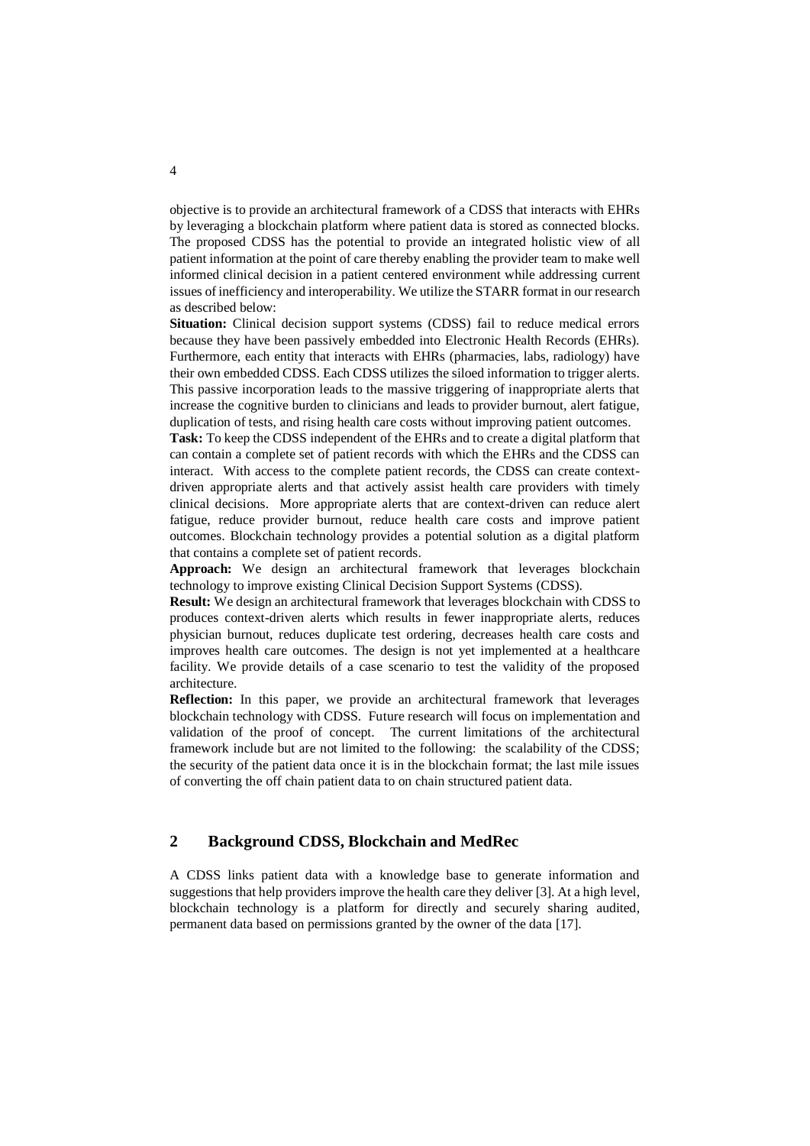objective is to provide an architectural framework of a CDSS that interacts with EHRs by leveraging a blockchain platform where patient data is stored as connected blocks. The proposed CDSS has the potential to provide an integrated holistic view of all patient information at the point of care thereby enabling the provider team to make well informed clinical decision in a patient centered environment while addressing current issues of inefficiency and interoperability. We utilize the STARR format in our research as described below:

**Situation:** Clinical decision support systems (CDSS) fail to reduce medical errors because they have been passively embedded into Electronic Health Records (EHRs). Furthermore, each entity that interacts with EHRs (pharmacies, labs, radiology) have their own embedded CDSS. Each CDSS utilizes the siloed information to trigger alerts. This passive incorporation leads to the massive triggering of inappropriate alerts that increase the cognitive burden to clinicians and leads to provider burnout, alert fatigue, duplication of tests, and rising health care costs without improving patient outcomes.

**Task:** To keep the CDSS independent of the EHRs and to create a digital platform that can contain a complete set of patient records with which the EHRs and the CDSS can interact. With access to the complete patient records, the CDSS can create contextdriven appropriate alerts and that actively assist health care providers with timely clinical decisions. More appropriate alerts that are context-driven can reduce alert fatigue, reduce provider burnout, reduce health care costs and improve patient outcomes. Blockchain technology provides a potential solution as a digital platform that contains a complete set of patient records.

**Approach:** We design an architectural framework that leverages blockchain technology to improve existing Clinical Decision Support Systems (CDSS).

**Result:** We design an architectural framework that leverages blockchain with CDSS to produces context-driven alerts which results in fewer inappropriate alerts, reduces physician burnout, reduces duplicate test ordering, decreases health care costs and improves health care outcomes. The design is not yet implemented at a healthcare facility. We provide details of a case scenario to test the validity of the proposed architecture.

**Reflection:** In this paper, we provide an architectural framework that leverages blockchain technology with CDSS. Future research will focus on implementation and validation of the proof of concept. The current limitations of the architectural framework include but are not limited to the following: the scalability of the CDSS; the security of the patient data once it is in the blockchain format; the last mile issues of converting the off chain patient data to on chain structured patient data.

# **2 Background CDSS, Blockchain and MedRec**

A CDSS links patient data with a knowledge base to generate information and suggestions that help providers improve the health care they deliver [3]. At a high level, blockchain technology is a platform for directly and securely sharing audited, permanent data based on permissions granted by the owner of the data [17].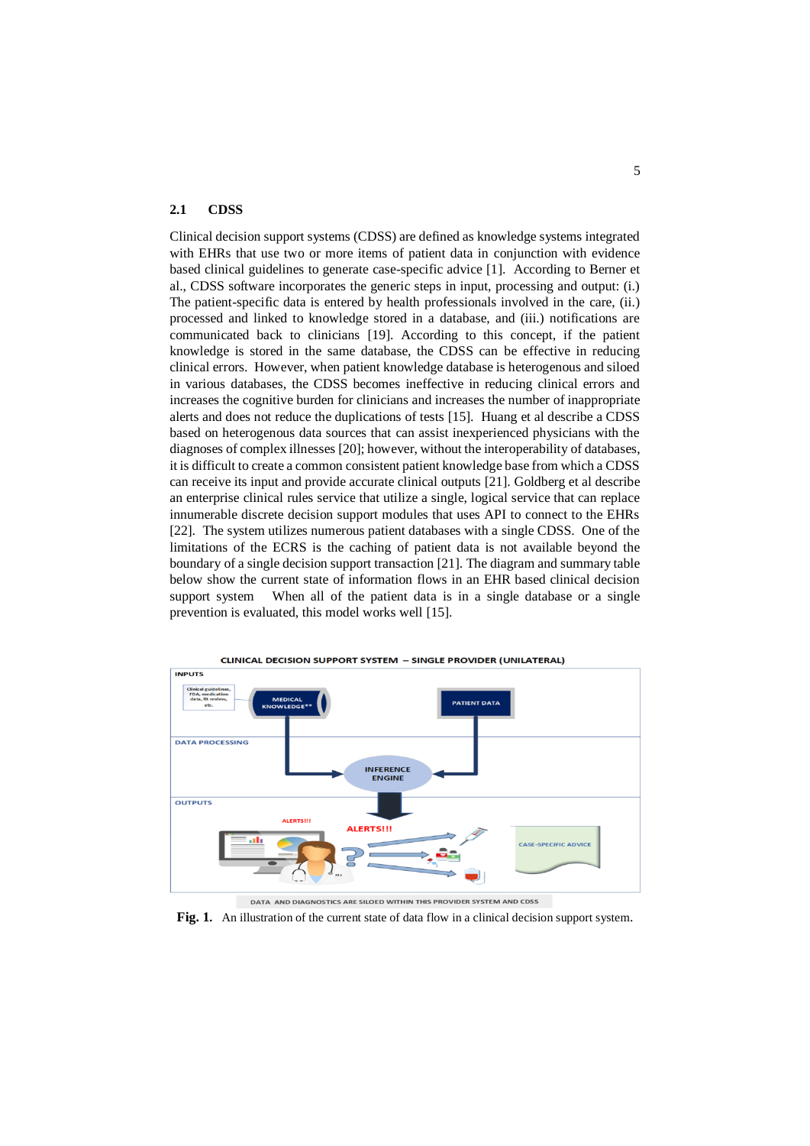#### **2.1 CDSS**

Clinical decision support systems (CDSS) are defined as knowledge systems integrated with EHRs that use two or more items of patient data in conjunction with evidence based clinical guidelines to generate case-specific advice [1]. According to Berner et al., CDSS software incorporates the generic steps in input, processing and output: (i.) The patient-specific data is entered by health professionals involved in the care, (ii.) processed and linked to knowledge stored in a database, and (iii.) notifications are communicated back to clinicians [19]. According to this concept, if the patient knowledge is stored in the same database, the CDSS can be effective in reducing clinical errors. However, when patient knowledge database is heterogenous and siloed in various databases, the CDSS becomes ineffective in reducing clinical errors and increases the cognitive burden for clinicians and increases the number of inappropriate alerts and does not reduce the duplications of tests [15]. Huang et al describe a CDSS based on heterogenous data sources that can assist inexperienced physicians with the diagnoses of complex illnesses [20]; however, without the interoperability of databases, it is difficult to create a common consistent patient knowledge base from which a CDSS can receive its input and provide accurate clinical outputs [21]. Goldberg et al describe an enterprise clinical rules service that utilize a single, logical service that can replace innumerable discrete decision support modules that uses API to connect to the EHRs [22]. The system utilizes numerous patient databases with a single CDSS. One of the limitations of the ECRS is the caching of patient data is not available beyond the boundary of a single decision support transaction [21]. The diagram and summary table below show the current state of information flows in an EHR based clinical decision support system When all of the patient data is in a single database or a single prevention is evaluated, this model works well [15].



**Fig. 1.** An illustration of the current state of data flow in a clinical decision support system.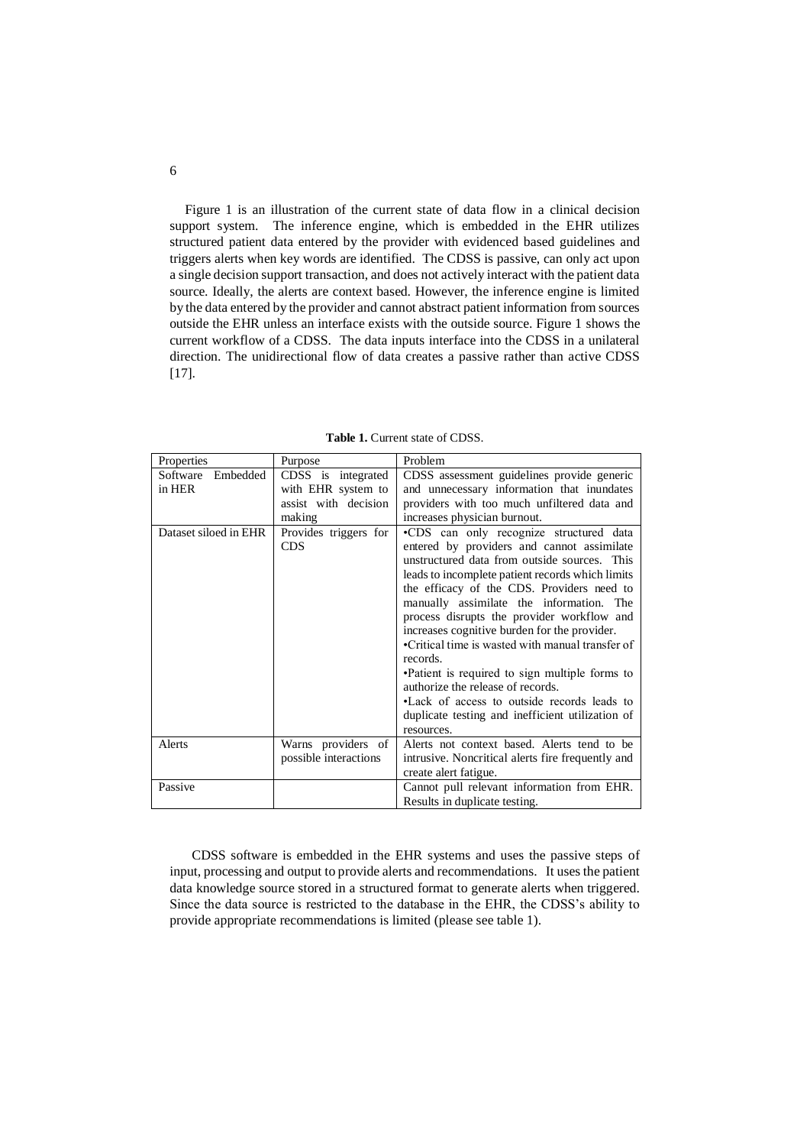Figure 1 is an illustration of the current state of data flow in a clinical decision support system. The inference engine, which is embedded in the EHR utilizes structured patient data entered by the provider with evidenced based guidelines and triggers alerts when key words are identified. The CDSS is passive, can only act upon a single decision support transaction, and does not actively interact with the patient data source. Ideally, the alerts are context based. However, the inference engine is limited by the data entered by the provider and cannot abstract patient information from sources outside the EHR unless an interface exists with the outside source. Figure 1 shows the current workflow of a CDSS. The data inputs interface into the CDSS in a unilateral direction. The unidirectional flow of data creates a passive rather than active CDSS [17].

| Properties            | Purpose                                     | Problem                                                                                                                                                                                                                                                                                                                                                                                                                                                                                                                                                                                                                                                   |
|-----------------------|---------------------------------------------|-----------------------------------------------------------------------------------------------------------------------------------------------------------------------------------------------------------------------------------------------------------------------------------------------------------------------------------------------------------------------------------------------------------------------------------------------------------------------------------------------------------------------------------------------------------------------------------------------------------------------------------------------------------|
| Embedded<br>Software  | CDSS is integrated                          | CDSS assessment guidelines provide generic                                                                                                                                                                                                                                                                                                                                                                                                                                                                                                                                                                                                                |
| in HER                | with EHR system to                          | and unnecessary information that inundates                                                                                                                                                                                                                                                                                                                                                                                                                                                                                                                                                                                                                |
|                       | assist with decision                        | providers with too much unfiltered data and                                                                                                                                                                                                                                                                                                                                                                                                                                                                                                                                                                                                               |
|                       | making                                      | increases physician burnout.                                                                                                                                                                                                                                                                                                                                                                                                                                                                                                                                                                                                                              |
| Dataset siloed in EHR | Provides triggers for<br><b>CDS</b>         | .CDS can only recognize structured data<br>entered by providers and cannot assimilate<br>unstructured data from outside sources. This<br>leads to incomplete patient records which limits<br>the efficacy of the CDS. Providers need to<br>manually assimilate the information. The<br>process disrupts the provider workflow and<br>increases cognitive burden for the provider.<br>•Critical time is wasted with manual transfer of<br>records.<br>•Patient is required to sign multiple forms to<br>authorize the release of records.<br>•Lack of access to outside records leads to<br>duplicate testing and inefficient utilization of<br>resources. |
| Alerts                | Warns providers of<br>possible interactions | Alerts not context based. Alerts tend to be<br>intrusive. Noncritical alerts fire frequently and<br>create alert fatigue.                                                                                                                                                                                                                                                                                                                                                                                                                                                                                                                                 |
| Passive               |                                             | Cannot pull relevant information from EHR.<br>Results in duplicate testing.                                                                                                                                                                                                                                                                                                                                                                                                                                                                                                                                                                               |

**Table 1.** Current state of CDSS.

 CDSS software is embedded in the EHR systems and uses the passive steps of input, processing and output to provide alerts and recommendations. It uses the patient data knowledge source stored in a structured format to generate alerts when triggered. Since the data source is restricted to the database in the EHR, the CDSS's ability to provide appropriate recommendations is limited (please see table 1).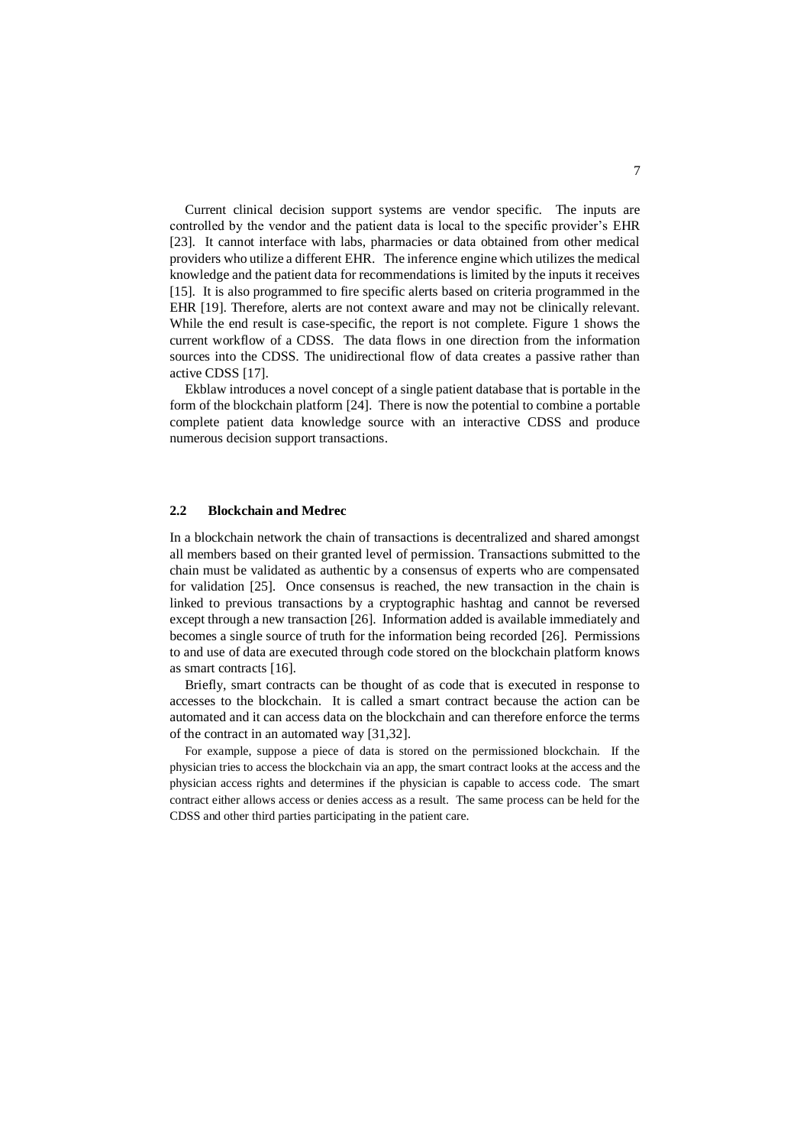Current clinical decision support systems are vendor specific. The inputs are controlled by the vendor and the patient data is local to the specific provider's EHR [23]. It cannot interface with labs, pharmacies or data obtained from other medical providers who utilize a different EHR. The inference engine which utilizes the medical knowledge and the patient data for recommendations is limited by the inputs it receives [15]. It is also programmed to fire specific alerts based on criteria programmed in the EHR [19]. Therefore, alerts are not context aware and may not be clinically relevant. While the end result is case-specific, the report is not complete. Figure 1 shows the current workflow of a CDSS. The data flows in one direction from the information sources into the CDSS. The unidirectional flow of data creates a passive rather than active CDSS [17].

Ekblaw introduces a novel concept of a single patient database that is portable in the form of the blockchain platform [24]. There is now the potential to combine a portable complete patient data knowledge source with an interactive CDSS and produce numerous decision support transactions.

#### **2.2 Blockchain and Medrec**

In a blockchain network the chain of transactions is decentralized and shared amongst all members based on their granted level of permission. Transactions submitted to the chain must be validated as authentic by a consensus of experts who are compensated for validation [25]. Once consensus is reached, the new transaction in the chain is linked to previous transactions by a cryptographic hashtag and cannot be reversed except through a new transaction [26]. Information added is available immediately and becomes a single source of truth for the information being recorded [26]. Permissions to and use of data are executed through code stored on the blockchain platform knows as smart contracts [16].

Briefly, smart contracts can be thought of as code that is executed in response to accesses to the blockchain. It is called a smart contract because the action can be automated and it can access data on the blockchain and can therefore enforce the terms of the contract in an automated way [31,32].

For example, suppose a piece of data is stored on the permissioned blockchain. If the physician tries to access the blockchain via an app, the smart contract looks at the access and the physician access rights and determines if the physician is capable to access code. The smart contract either allows access or denies access as a result. The same process can be held for the CDSS and other third parties participating in the patient care.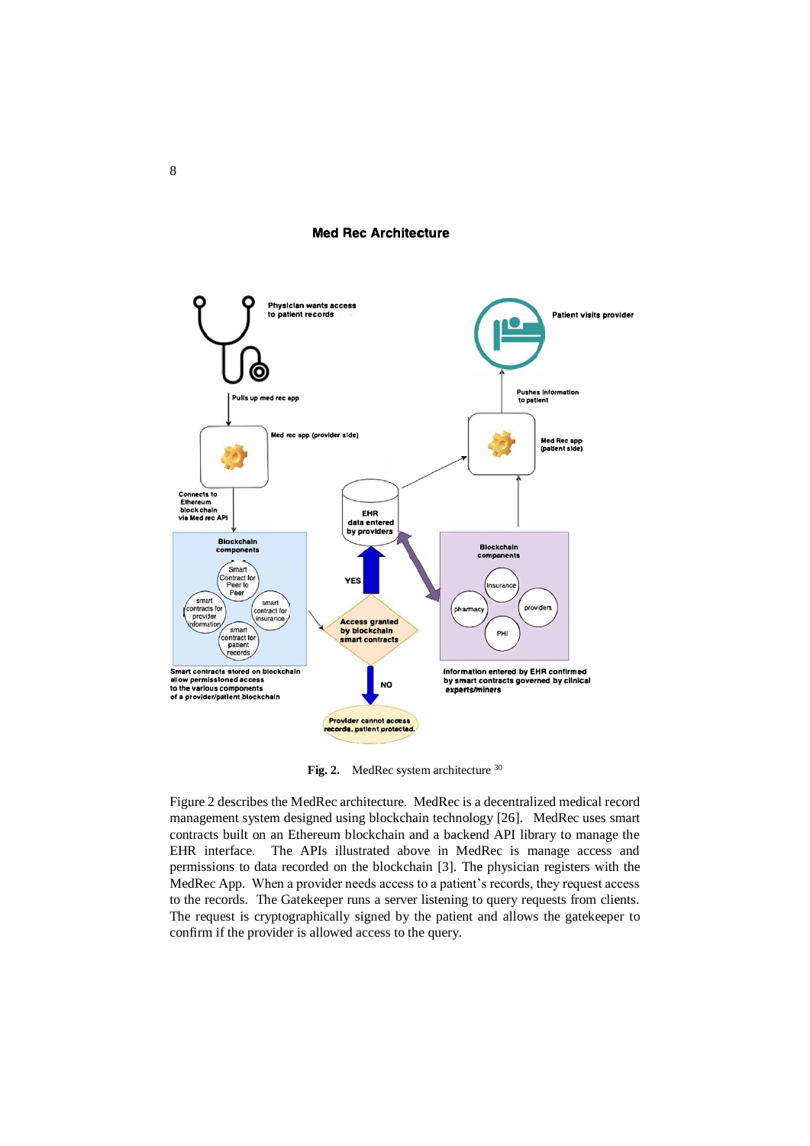### **Med Rec Architecture**



Fig. 2. MedRec system architecture <sup>30</sup>

Figure 2 describes the MedRec architecture. MedRec is a decentralized medical record management system designed using blockchain technology [26]. MedRec uses smart contracts built on an Ethereum blockchain and a backend API library to manage the EHR interface. The APIs illustrated above in MedRec is manage access and permissions to data recorded on the blockchain [3]. The physician registers with the MedRec App. When a provider needs access to a patient's records, they request access to the records. The Gatekeeper runs a server listening to query requests from clients. The request is cryptographically signed by the patient and allows the gatekeeper to confirm if the provider is allowed access to the query.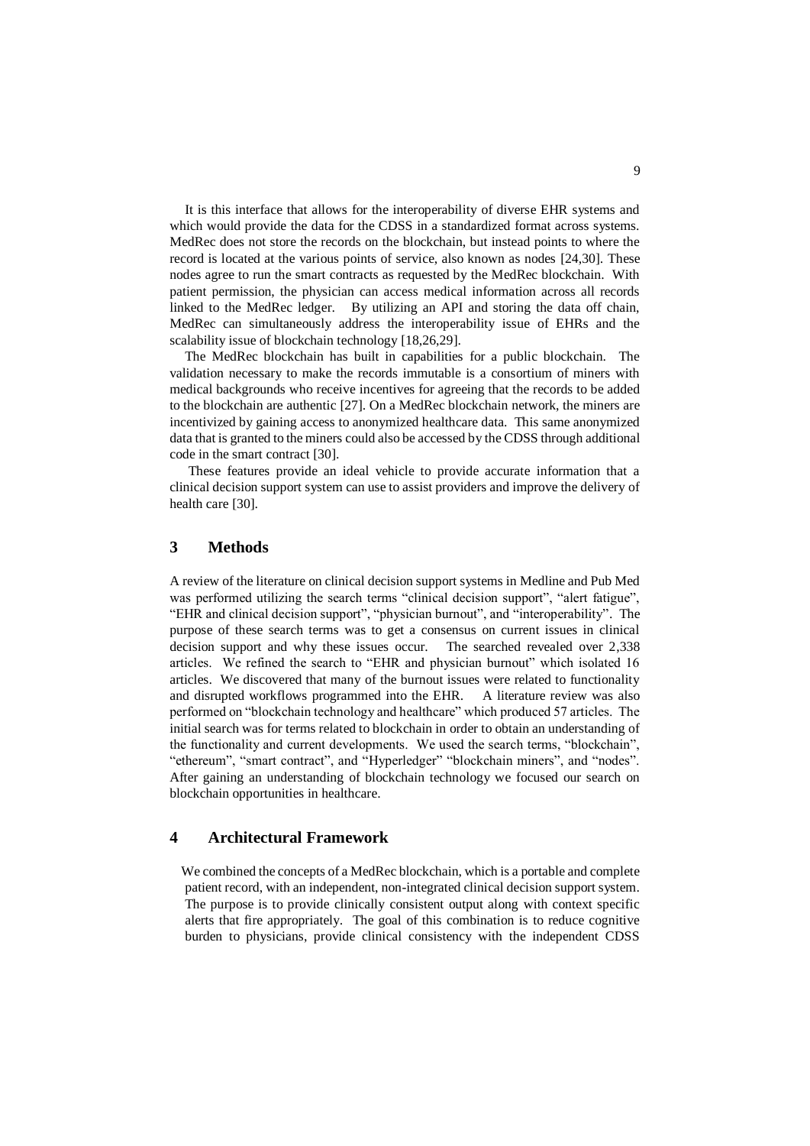It is this interface that allows for the interoperability of diverse EHR systems and which would provide the data for the CDSS in a standardized format across systems. MedRec does not store the records on the blockchain, but instead points to where the record is located at the various points of service, also known as nodes [24,30]. These nodes agree to run the smart contracts as requested by the MedRec blockchain. With patient permission, the physician can access medical information across all records linked to the MedRec ledger. By utilizing an API and storing the data off chain, MedRec can simultaneously address the interoperability issue of EHRs and the scalability issue of blockchain technology [18,26,29].

The MedRec blockchain has built in capabilities for a public blockchain. The validation necessary to make the records immutable is a consortium of miners with medical backgrounds who receive incentives for agreeing that the records to be added to the blockchain are authentic [27]. On a MedRec blockchain network, the miners are incentivized by gaining access to anonymized healthcare data. This same anonymized data that is granted to the miners could also be accessed by the CDSS through additional code in the smart contract [30].

These features provide an ideal vehicle to provide accurate information that a clinical decision support system can use to assist providers and improve the delivery of health care [30].

# **3 Methods**

A review of the literature on clinical decision support systems in Medline and Pub Med was performed utilizing the search terms "clinical decision support", "alert fatigue", "EHR and clinical decision support", "physician burnout", and "interoperability". The purpose of these search terms was to get a consensus on current issues in clinical decision support and why these issues occur. The searched revealed over 2,338 articles. We refined the search to "EHR and physician burnout" which isolated 16 articles. We discovered that many of the burnout issues were related to functionality and disrupted workflows programmed into the EHR. A literature review was also performed on "blockchain technology and healthcare" which produced 57 articles. The initial search was for terms related to blockchain in order to obtain an understanding of the functionality and current developments. We used the search terms, "blockchain", "ethereum", "smart contract", and "Hyperledger" "blockchain miners", and "nodes". After gaining an understanding of blockchain technology we focused our search on blockchain opportunities in healthcare.

## **4 Architectural Framework**

We combined the concepts of a MedRec blockchain, which is a portable and complete patient record, with an independent, non-integrated clinical decision support system. The purpose is to provide clinically consistent output along with context specific alerts that fire appropriately. The goal of this combination is to reduce cognitive burden to physicians, provide clinical consistency with the independent CDSS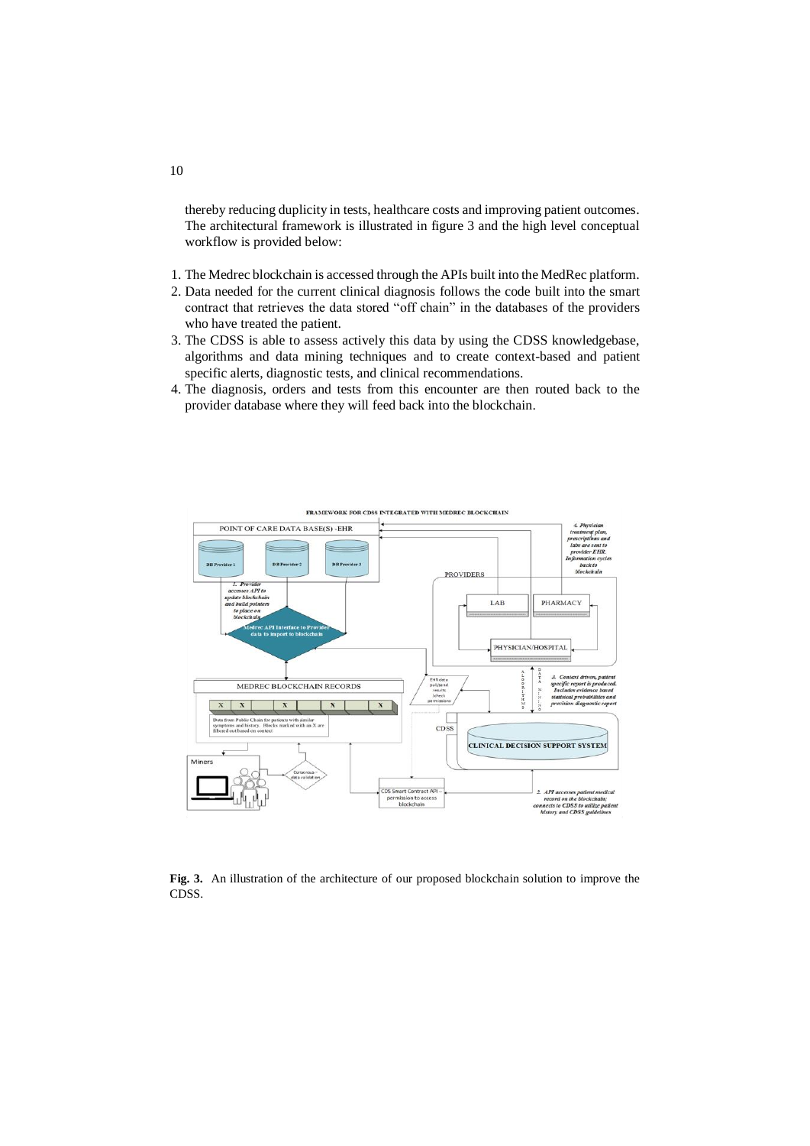thereby reducing duplicity in tests, healthcare costs and improving patient outcomes. The architectural framework is illustrated in figure 3 and the high level conceptual workflow is provided below:

- 1. The Medrec blockchain is accessed through the APIs built into the MedRec platform.
- 2. Data needed for the current clinical diagnosis follows the code built into the smart contract that retrieves the data stored "off chain" in the databases of the providers who have treated the patient.
- 3. The CDSS is able to assess actively this data by using the CDSS knowledgebase, algorithms and data mining techniques and to create context-based and patient specific alerts, diagnostic tests, and clinical recommendations.
- 4. The diagnosis, orders and tests from this encounter are then routed back to the provider database where they will feed back into the blockchain.



**Fig. 3.** An illustration of the architecture of our proposed blockchain solution to improve the CDSS.

10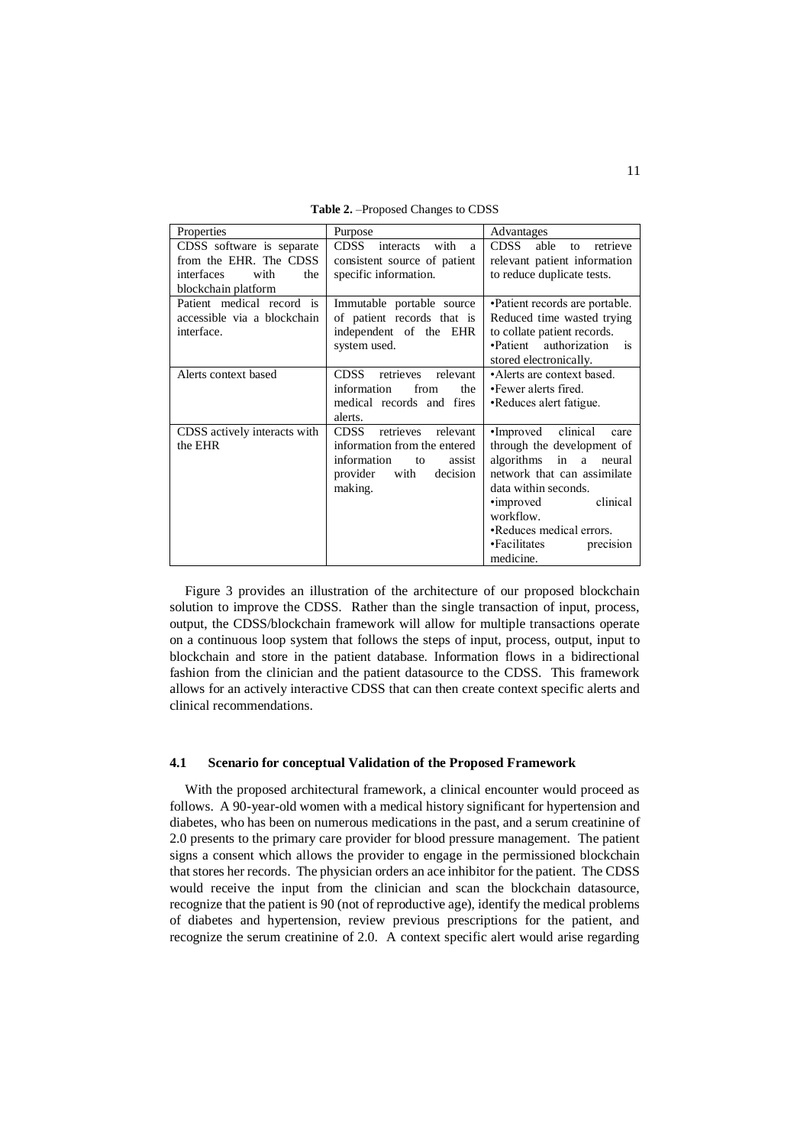**Table 2.** –Proposed Changes to CDSS

| Properties                   | Purpose                               | Advantages                            |
|------------------------------|---------------------------------------|---------------------------------------|
| CDSS software is separate    | <b>CDSS</b><br>with<br>interacts<br>a | <b>CDSS</b><br>retrieve<br>able<br>to |
| from the EHR. The CDSS       | consistent source of patient          | relevant patient information          |
| interfaces<br>with<br>the    | specific information.                 | to reduce duplicate tests.            |
| blockchain platform          |                                       |                                       |
| Patient medical record is    | Immutable portable source             | •Patient records are portable.        |
| accessible via a blockchain  | of patient records that is            | Reduced time wasted trying            |
| interface.                   | independent of the EHR                | to collate patient records.           |
|                              | system used.                          | •Patient authorization<br>is          |
|                              |                                       | stored electronically.                |
| Alerts context based         | <b>CDSS</b><br>retrieves<br>relevant  | •Alerts are context based.            |
|                              | information<br>from<br>the            | •Fewer alerts fired.                  |
|                              | medical records and fires             | •Reduces alert fatigue.               |
|                              | alerts.                               |                                       |
| CDSS actively interacts with | <b>CDSS</b><br>retrieves<br>relevant  | •Improved clinical<br>care            |
| the EHR                      | information from the entered          | through the development of            |
|                              | information<br>assist<br>to           | algorithms in<br>a<br>neural          |
|                              | provider<br>with<br>decision          | network that can assimilate           |
|                              | making.                               | data within seconds.                  |
|                              |                                       | clinical<br>•improved                 |
|                              |                                       | workflow.                             |
|                              |                                       | •Reduces medical errors.              |
|                              |                                       | •Facilitates<br>precision             |
|                              |                                       | medicine.                             |

Figure 3 provides an illustration of the architecture of our proposed blockchain solution to improve the CDSS. Rather than the single transaction of input, process, output, the CDSS/blockchain framework will allow for multiple transactions operate on a continuous loop system that follows the steps of input, process, output, input to blockchain and store in the patient database. Information flows in a bidirectional fashion from the clinician and the patient datasource to the CDSS. This framework allows for an actively interactive CDSS that can then create context specific alerts and clinical recommendations.

#### **4.1 Scenario for conceptual Validation of the Proposed Framework**

With the proposed architectural framework, a clinical encounter would proceed as follows. A 90-year-old women with a medical history significant for hypertension and diabetes, who has been on numerous medications in the past, and a serum creatinine of 2.0 presents to the primary care provider for blood pressure management. The patient signs a consent which allows the provider to engage in the permissioned blockchain that stores her records. The physician orders an ace inhibitor for the patient. The CDSS would receive the input from the clinician and scan the blockchain datasource, recognize that the patient is 90 (not of reproductive age), identify the medical problems of diabetes and hypertension, review previous prescriptions for the patient, and recognize the serum creatinine of 2.0. A context specific alert would arise regarding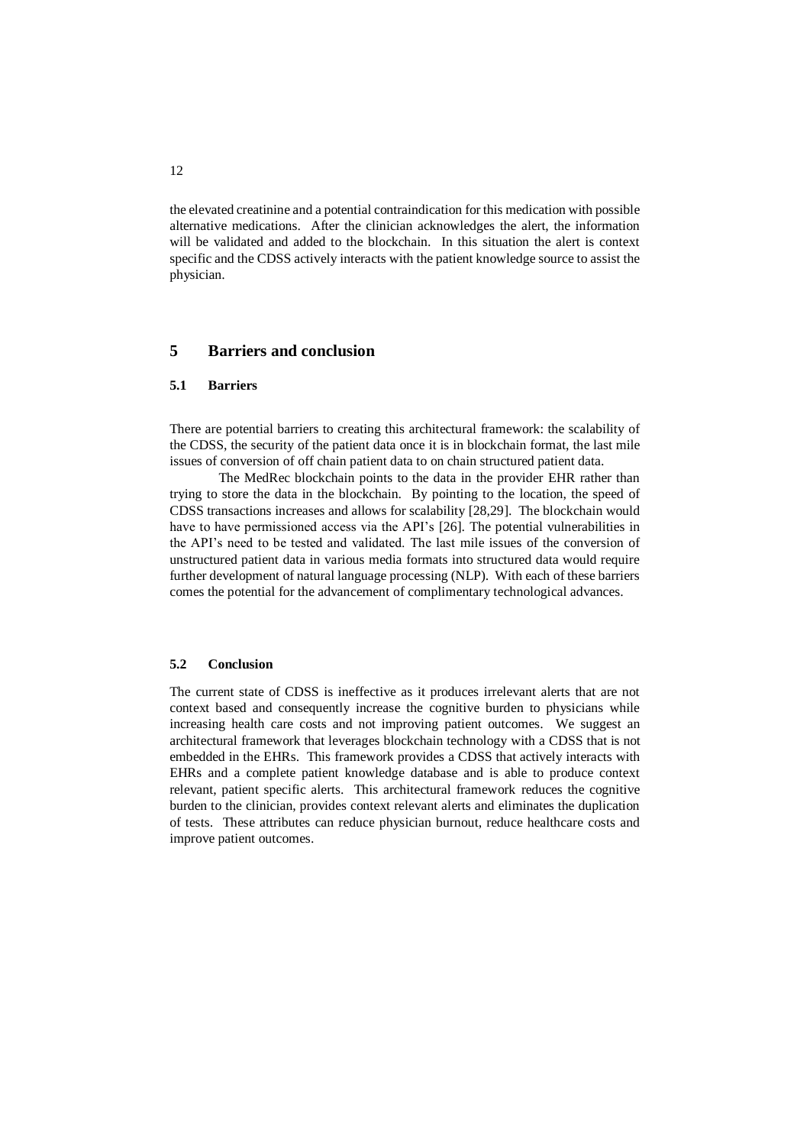the elevated creatinine and a potential contraindication for this medication with possible alternative medications. After the clinician acknowledges the alert, the information will be validated and added to the blockchain. In this situation the alert is context specific and the CDSS actively interacts with the patient knowledge source to assist the physician.

# **5 Barriers and conclusion**

#### **5.1 Barriers**

There are potential barriers to creating this architectural framework: the scalability of the CDSS, the security of the patient data once it is in blockchain format, the last mile issues of conversion of off chain patient data to on chain structured patient data.

The MedRec blockchain points to the data in the provider EHR rather than trying to store the data in the blockchain. By pointing to the location, the speed of CDSS transactions increases and allows for scalability [28,29]. The blockchain would have to have permissioned access via the API's [26]. The potential vulnerabilities in the API's need to be tested and validated. The last mile issues of the conversion of unstructured patient data in various media formats into structured data would require further development of natural language processing (NLP). With each of these barriers comes the potential for the advancement of complimentary technological advances.

### **5.2 Conclusion**

The current state of CDSS is ineffective as it produces irrelevant alerts that are not context based and consequently increase the cognitive burden to physicians while increasing health care costs and not improving patient outcomes. We suggest an architectural framework that leverages blockchain technology with a CDSS that is not embedded in the EHRs. This framework provides a CDSS that actively interacts with EHRs and a complete patient knowledge database and is able to produce context relevant, patient specific alerts. This architectural framework reduces the cognitive burden to the clinician, provides context relevant alerts and eliminates the duplication of tests. These attributes can reduce physician burnout, reduce healthcare costs and improve patient outcomes.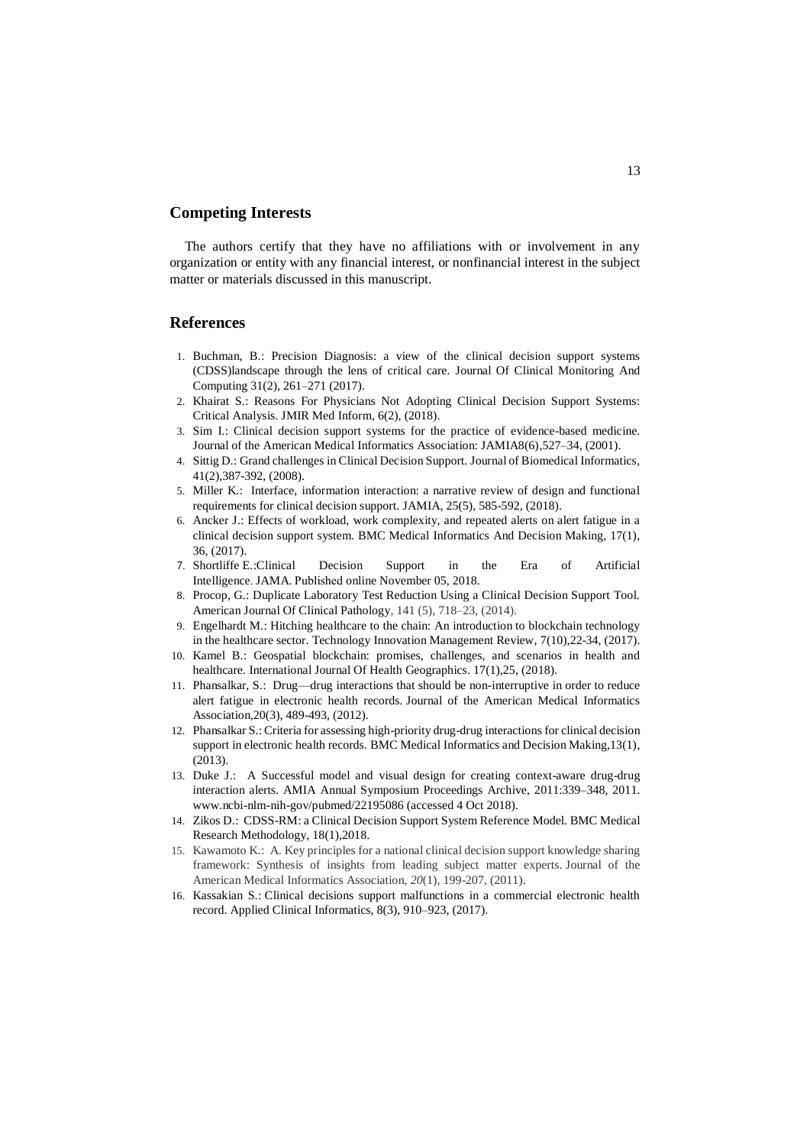## **Competing Interests**

The authors certify that they have no affiliations with or involvement in any organization or entity with any financial interest, or nonfinancial interest in the subject matter or materials discussed in this manuscript.

### **References**

- 1. Buchman, B.: Precision Diagnosis: a view of the clinical decision support systems (CDSS)landscape through the lens of critical care*.* Journal Of Clinical Monitoring And Computing 31(2), 261–271 (2017).
- 2. Khairat S.: Reasons For Physicians Not Adopting Clinical Decision Support Systems: Critical Analysis. JMIR Med Inform, 6(2), (2018).
- 3. Sim I.: Clinical decision support systems for the practice of evidence-based medicine. Journal of the American Medical Informatics Association: JAMIA8(6),527–34, (2001).
- 4. Sittig D.: Grand challenges in Clinical Decision Support. Journal of Biomedical Informatics, 41(2),387-392, (2008).
- 5. Miller K.: Interface, information interaction: a narrative review of design and functional requirements for clinical decision support. JAMIA, 25(5), 585-592, (2018).
- 6. Ancker J.: Effects of workload, work complexity, and repeated alerts on alert fatigue in a clinical decision support system. BMC Medical Informatics And Decision Making, 17(1), 36, (2017).
- 7. Shortliffe E.:Clinical Decision Support in the Era of Artificial Intelligence. JAMA. Published online November 05, 2018.
- 8. Procop, G.: Duplicate Laboratory Test Reduction Using a Clinical Decision Support Tool. American Journal Of Clinical Pathology, 141 (5), 718–23, (2014).
- 9. Engelhardt M.: Hitching healthcare to the chain: An introduction to blockchain technology in the healthcare sector. Technology Innovation Management Review, 7(10),22-34, (2017).
- 10. Kamel B.: Geospatial blockchain: promises, challenges, and scenarios in health and healthcare. International Journal Of Health Geographics. 17(1),25, (2018).
- 11. Phansalkar, S.: Drug—drug interactions that should be non-interruptive in order to reduce alert fatigue in electronic health records. Journal of the American Medical Informatics Association,20(3), 489-493, (2012).
- 12. Phansalkar S.: Criteria for assessing high-priority drug-drug interactions for clinical decision support in electronic health records. BMC Medical Informatics and Decision Making,13(1), (2013).
- 13. Duke J.: A Successful model and visual design for creating context-aware drug-drug interaction alerts. AMIA Annual Symposium Proceedings Archive, 2011:339–348*,* 2011. www.ncbi-nlm-nih-gov/pubmed/22195086 (accessed 4 Oct 2018).
- 14. Zikos D.: CDSS-RM: a Clinical Decision Support System Reference Model. BMC Medical Research Methodology, 18(1),2018.
- 15. Kawamoto K.: A. Key principles for a national clinical decision support knowledge sharing framework: Synthesis of insights from leading subject matter experts. Journal of the American Medical Informatics Association, *20*(1), 199-207, (2011).
- 16. Kassakian S.: Clinical decisions support malfunctions in a commercial electronic health record. Applied Clinical Informatics, 8(3), 910–923, (2017).